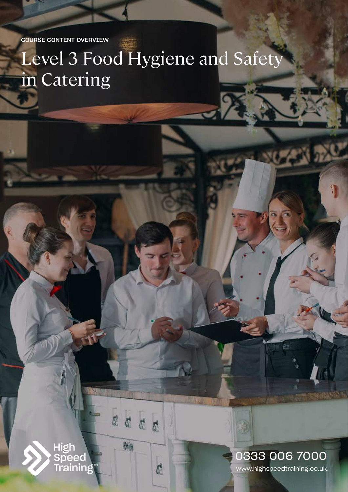COURSE CONTENT OVERVIEW

# Level 3 Food Hygiene and Safety in Catering

 $\delta^4$ 

88



www.highspeedtraining.co.uk 0333 006 7000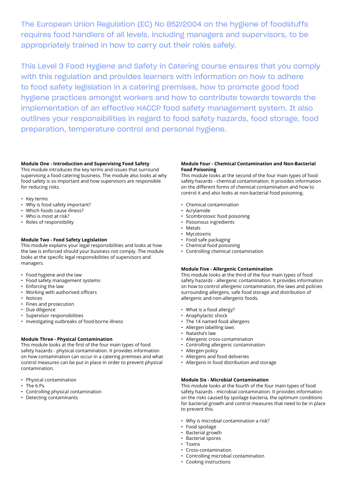The European Union Regulation (EC) No 852/2004 on the hygiene of foodstuffs requires food handlers of all levels, including managers and supervisors, to be appropriately trained in how to carry out their roles safely.

This Level 3 Food Hygiene and Safety in Catering course ensures that you comply with this regulation and provides learners with information on how to adhere to food safety legislation in a catering premises, how to promote good food hygiene practices amongst workers and how to contribute towards towards the implementation of an effective HACCP food safety management system. It also outlines your responsibilities in regard to food safety hazards, food storage, food preparation, temperature control and personal hygiene.

#### **Module One - Introduction and Supervising Food Safety**

This module introduces the key terms and issues that surround supervising a food catering business. The module also looks at why food safety is so important and how supervisors are responsible for reducing risks.

- Key terms
- Why is food safety important?
- Which foods cause illness?
- Who is most at risk?
- Roles of responsibility

# **Module Two - Food Safety Legislation**

This module explains your legal responsibilities and looks at how the law is enforced should your business not comply. The module looks at the specific legal responsibilities of supervisors and managers.

- Food hygiene and the law
- Food safety management systems
- Enforcing the law
- Working with authorised officers
- Notices
- Fines and prosecution
- Due diligence
- Supervisor responsibilities
- Investigating outbreaks of food-borne illness

#### **Module Three - Physical Contamination**

This module looks at the first of the four main types of food safety hazards - physical contamination. It provides information on how contamination can occur in a catering premises and what control measures can be put in place in order to prevent physical contamination.

- Physical contamination
- The 6 Ps
- Controlling physical contamination
- Detecting contaminants

#### **Module Four - Chemical Contamination and Non-Bacterial Food Poisoning**

This module looks at the second of the four main types of food safety hazards - chemical contamination. It provides information on the different forms of chemical contamination and how to control it and also looks at non-bacterial food poisoning.

- Chemical contamination
- Acrylamide
- Scombrotoxic food poisoning
- Poisonous ingredients
- Metals
- Mycotoxins
- Food safe packaging
- Chemical food poisoning
- Controlling chemical contamination

#### **Module Five - Allergenic Contamination**

This module looks at the third of the four main types of food safety hazards - allergenic contamination. It provides information on how to control allergenic contamination, the laws and policies surrounding allergens, safe food storage and distribution of allergenic and non-allergenic foods.

- What is a food allergy?
- Anaphylactic shock
- The 14 named food allergens
- Allergen labelling laws
- Natasha's law
- Allergenic cross-contamination
- Controlling allergenic contamination
- Allergen policy
- Allergens and food deliveries
- Allergens in food distribution and storage

#### **Module Six - Microbial Contamination**

This module looks at the fourth of the four main types of food safety hazards - microbial contamination. It provides information on the risks caused by spoilage bacteria, the optimum conditions for bacterial growth and control measures that need to be in place to prevent this.

- Why is microbial contamination a risk?
- Food spoilage
- Bacterial growth
- Bacterial spores
- Toxins
- Cross-contamination
- Controlling microbial contamination
- Cooking instructions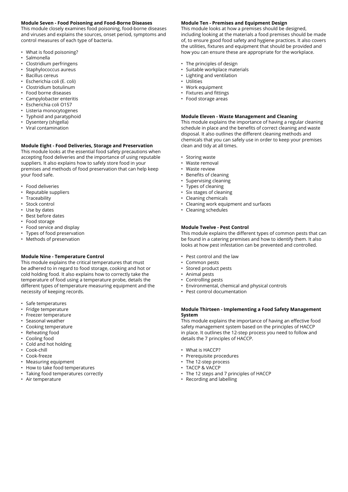# **Module Seven - Food Poisoning and Food-Borne Diseases**

This module closely examines food poisoning, food-borne diseases and viruses and explains the sources, onset period, symptoms and control measures of each type of bacteria.

- What is food poisoning?
- Salmonella
- Clostridium perfringens
- Staphylococcus aureus
- Bacillus cereus
- Escherichia coli (E. coli)
- Clostridium botulinum
- Food borne diseases
- Campylobacter enteritis
- Escherichia coli O157
- Listeria monocytogenes
- Typhoid and paratyphoid
- Dysentery (shigella)
- Viral contamination

#### **Module Eight - Food Deliveries, Storage and Preservation**

This module looks at the essential food safety precautions when accepting food deliveries and the importance of using reputable suppliers. It also explains how to safely store food in your premises and methods of food preservation that can help keep your food safe.

- Food deliveries
- Reputable suppliers
- Traceability
- Stock control
- Use by dates
- Best before dates
- Food storage
- Food service and display
- Types of food preservation
- Methods of preservation

#### **Module Nine - Temperature Control**

This module explains the critical temperatures that must be adhered to in regard to food storage, cooking and hot or cold holding food. It also explains how to correctly take the temperature of food using a temperature probe, details the different types of temperature measuring equipment and the necessity of keeping records.

- Safe temperatures
- Fridge temperature
- Freezer temperature
- Seasonal weather
- Cooking temperature
- Reheating food
- Cooling food
- Cold and hot holding
- Cook-chill
- Cook-freeze
- Measuring equipment
- How to take food temperatures
- Taking food temperatures correctly
- Air temperature

# **Module Ten - Premises and Equipment Design**

This module looks at how a premises should be designed, including looking at the materials a food premises should be made of, to ensure good food safety and hygiene practices. It also covers the utilities, fixtures and equipment that should be provided and how you can ensure these are appropriate for the workplace.

- The principles of design
- Suitable workplace materials
- Lighting and ventilation
- Utilities
- Work equipment
- Fixtures and fittings
- Food storage areas

#### **Module Eleven - Waste Management and Cleaning**

This module explains the importance of having a regular cleaning schedule in place and the benefits of correct cleaning and waste disposal. It also outlines the different cleaning methods and chemicals that you can safely use in order to keep your premises clean and tidy at all times.

- Storing waste
- Waste removal
- Waste review
- Benefits of cleaning
- Supervising cleaning
- Types of cleaning
- Six stages of cleaning
- Cleaning chemicals
- Cleaning work equipment and surfaces
- Cleaning schedules

#### **Module Twelve - Pest Control**

This module explains the different types of common pests that can be found in a catering premises and how to identify them. It also looks at how pest infestation can be prevented and controlled.

- Pest control and the law
- Common pests
- Stored product pests
- Animal pests
- Controlling pests
- Environmental, chemical and physical controls
- Pest control documentation

#### **Module Thirteen - Implementing a Food Safety Management System**

This module explains the importance of having an effective food safety management system based on the principles of HACCP in place. It outlines the 12-step process you need to follow and details the 7 principles of HACCP.

- What is HACCP?
- Prerequisite procedures
- The 12-step process
- TACCP & VACCP
- The 12 steps and 7 principles of HACCP
- Recording and labelling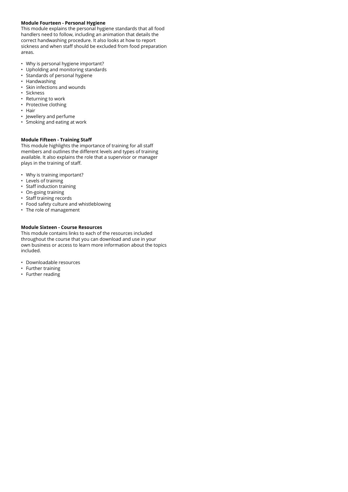# **Module Fourteen - Personal Hygiene**

This module explains the personal hygiene standards that all food handlers need to follow, including an animation that details the correct handwashing procedure. It also looks at how to report sickness and when staff should be excluded from food preparation areas.

- Why is personal hygiene important?
- Upholding and monitoring standards<br>• Standards of personal hygiene
- Standards of personal hygiene
- Handwashing
- Skin infections and wounds
- Sickness
- Returning to work
- Protective clothing
- Hair
- Jewellery and perfume
- Smoking and eating at work

# **Module Fifteen - Training Staff**

This module highlights the importance of training for all staff members and outlines the different levels and types of training available. It also explains the role that a supervisor or manager plays in the training of staff.

- Why is training important?
- Levels of training
- Staff induction training
- On-going training
- Staff training records
- Food safety culture and whistleblowing
- The role of management

# **Module Sixteen - Course Resources**

This module contains links to each of the resources included throughout the course that you can download and use in your own business or access to learn more information about the topics included.

- Downloadable resources
- Further training
- Further reading